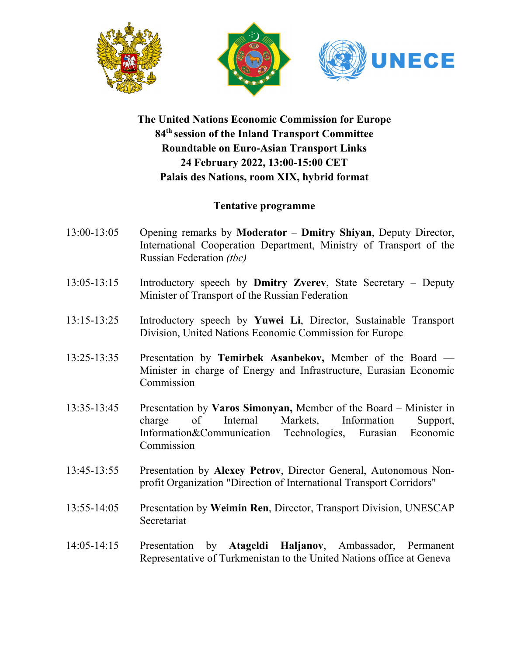





## **The United Nations Economic Commission for Europe 84th session of the Inland Transport Committee Roundtable on Euro-Asian Transport Links 24 February 2022, 13:00-15:00 CET Palais des Nations, room XIX, hybrid format**

## **Tentative programme**

- 13:00-13:05 Opening remarks by **Moderator Dmitry Shiyan**, Deputy Director, International Cooperation Department, Ministry of Transport of the Russian Federation *(tbc)*
- 13:05-13:15 Introductory speech by **Dmitry Zverev**, State Secretary Deputy Minister of Transport of the Russian Federation
- 13:15-13:25 Introductory speech by **Yuwei Li**, Director, Sustainable Transport Division, United Nations Economic Commission for Europe
- 13:25-13:35 Presentation by **Temirbek Asanbekov,** Member of the Board Minister in charge of Energy and Infrastructure, Eurasian Economic Commission
- 13:35-13:45 Presentation by **Varos Simonyan,** Member of the Board Minister in charge of Internal Markets, Information Support, Information&Communication Technologies, Eurasian Economic Commission
- 13:45-13:55 Presentation by **Alexey Petrov**, Director General, Autonomous Nonprofit Organization "Direction of International Transport Corridors"
- 13:55-14:05 Presentation by **Weimin Ren**, Director, Transport Division, UNESCAP Secretariat
- 14:05-14:15 Presentation by **Atageldi Haljanov**, Ambassador, Permanent Representative of Turkmenistan to the United Nations office at Geneva